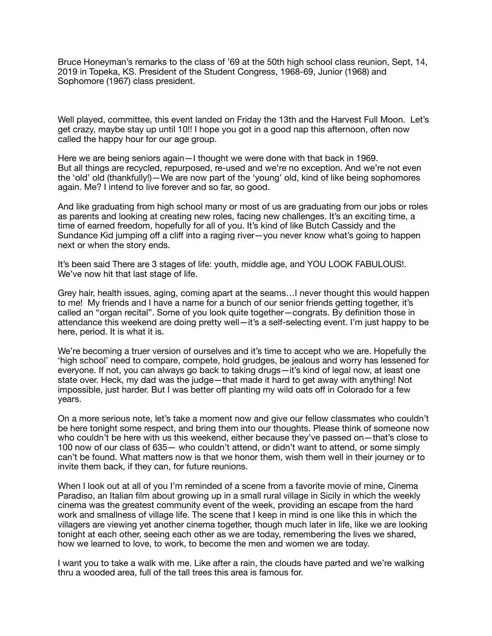Bruce Honeyman's remarks to the class of '69 at the 50th high school class reunion, Sept, 14, 2019 in Topeka, KS. President of the Student Congress, 1968-69, Junior (1968) and Sophomore (1967) class president.

Well played, committee, this event landed on Friday the 13th and the Harvest Full Moon. Let's get crazy, maybe stay up until 10!! I hope you got in a good nap this afternoon, often now called the happy hour for our age group.

Here we are being seniors again—I thought we were done with that back in 1969. But all things are recycled, repurposed, re-used and we're no exception. And we're not even the 'old' old (thankfully!)—We are now part of the 'young' old, kind of like being sophomores again. Me? I intend to live forever and so far, so good.

And like graduating from high school many or most of us are graduating from our jobs or roles as parents and looking at creating new roles, facing new challenges. It's an exciting time, a time of earned freedom, hopefully for all of you. It's kind of like Butch Cassidy and the Sundance Kid jumping off a cliff into a raging river—you never know what's going to happen next or when the story ends.

It's been said There are 3 stages of life: youth, middle age, and YOU LOOK FABULOUS!. We've now hit that last stage of life.

Grey hair, health issues, aging, coming apart at the seams…I never thought this would happen to me! My friends and I have a name for a bunch of our senior friends getting together, it's called an "organ recital". Some of you look quite together—congrats. By definition those in attendance this weekend are doing pretty well—it's a self-selecting event. I'm just happy to be here, period. It is what it is.

We're becoming a truer version of ourselves and it's time to accept who we are. Hopefully the 'high school' need to compare, compete, hold grudges, be jealous and worry has lessened for everyone. If not, you can always go back to taking drugs—it's kind of legal now, at least one state over. Heck, my dad was the judge—that made it hard to get away with anything! Not impossible, just harder. But I was better off planting my wild oats off in Colorado for a few years.

On a more serious note, let's take a moment now and give our fellow classmates who couldn't be here tonight some respect, and bring them into our thoughts. Please think of someone now who couldn't be here with us this weekend, either because they've passed on—that's close to 100 now of our class of 635— who couldn't attend, or didn't want to attend, or some simply can't be found. What matters now is that we honor them, wish them well in their journey or to invite them back, if they can, for future reunions.

When I look out at all of you I'm reminded of a scene from a favorite movie of mine, Cinema Paradiso, an Italian film about growing up in a small rural village in Sicily in which the weekly cinema was the greatest community event of the week, providing an escape from the hard work and smallness of village life. The scene that I keep in mind is one like this in which the villagers are viewing yet another cinema together, though much later in life, like we are looking tonight at each other, seeing each other as we are today, remembering the lives we shared, how we learned to love, to work, to become the men and women we are today.

I want you to take a walk with me. Like after a rain, the clouds have parted and we're walking thru a wooded area, full of the tall trees this area is famous for.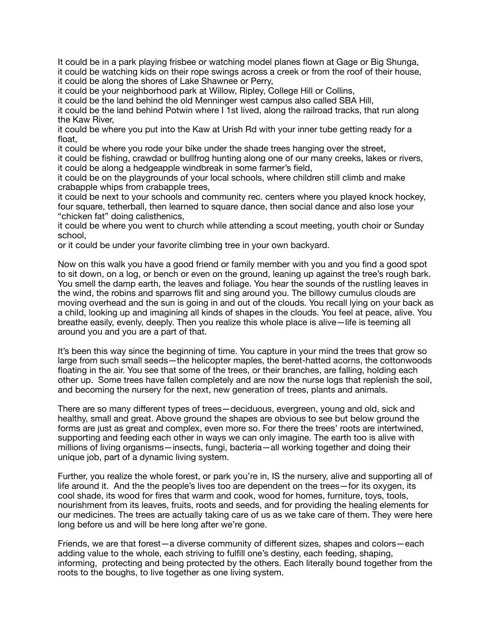It could be in a park playing frisbee or watching model planes flown at Gage or Big Shunga, it could be watching kids on their rope swings across a creek or from the roof of their house, it could be along the shores of Lake Shawnee or Perry,

it could be your neighborhood park at Willow, Ripley, College Hill or Collins,

it could be the land behind the old Menninger west campus also called SBA Hill,

it could be the land behind Potwin where I 1st lived, along the railroad tracks, that run along the Kaw River,

it could be where you put into the Kaw at Urish Rd with your inner tube getting ready for a float,

it could be where you rode your bike under the shade trees hanging over the street,

it could be fishing, crawdad or bullfrog hunting along one of our many creeks, lakes or rivers, it could be along a hedgeapple windbreak in some farmer's field,

it could be on the playgrounds of your local schools, where children still climb and make crabapple whips from crabapple trees,

it could be next to your schools and community rec. centers where you played knock hockey, four square, tetherball, then learned to square dance, then social dance and also lose your "chicken fat" doing calisthenics,

it could be where you went to church while attending a scout meeting, youth choir or Sunday school,

or it could be under your favorite climbing tree in your own backyard.

Now on this walk you have a good friend or family member with you and you find a good spot to sit down, on a log, or bench or even on the ground, leaning up against the tree's rough bark. You smell the damp earth, the leaves and foliage. You hear the sounds of the rustling leaves in the wind, the robins and sparrows flit and sing around you. The billowy cumulus clouds are moving overhead and the sun is going in and out of the clouds. You recall lying on your back as a child, looking up and imagining all kinds of shapes in the clouds. You feel at peace, alive. You breathe easily, evenly, deeply. Then you realize this whole place is alive—life is teeming all around you and you are a part of that.

It's been this way since the beginning of time. You capture in your mind the trees that grow so large from such small seeds—the helicopter maples, the beret-hatted acorns, the cottonwoods floating in the air. You see that some of the trees, or their branches, are falling, holding each other up. Some trees have fallen completely and are now the nurse logs that replenish the soil, and becoming the nursery for the next, new generation of trees, plants and animals.

There are so many different types of trees—deciduous, evergreen, young and old, sick and healthy, small and great. Above ground the shapes are obvious to see but below ground the forms are just as great and complex, even more so. For there the trees' roots are intertwined, supporting and feeding each other in ways we can only imagine. The earth too is alive with millions of living organisms—insects, fungi, bacteria—all working together and doing their unique job, part of a dynamic living system.

Further, you realize the whole forest, or park you're in, IS the nursery, alive and supporting all of life around it. And the the people's lives too are dependent on the trees—for its oxygen, its cool shade, its wood for fires that warm and cook, wood for homes, furniture, toys, tools, nourishment from its leaves, fruits, roots and seeds, and for providing the healing elements for our medicines. The trees are actually taking care of us as we take care of them. They were here long before us and will be here long after we're gone.

Friends, we are that forest—a diverse community of different sizes, shapes and colors—each adding value to the whole, each striving to fulfill one's destiny, each feeding, shaping, informing, protecting and being protected by the others. Each literally bound together from the roots to the boughs, to live together as one living system.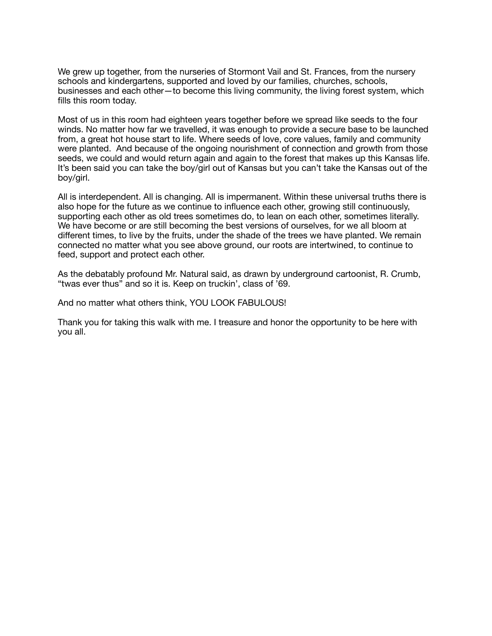We grew up together, from the nurseries of Stormont Vail and St. Frances, from the nursery schools and kindergartens, supported and loved by our families, churches, schools, businesses and each other—to become this living community, the living forest system, which fills this room today.

Most of us in this room had eighteen years together before we spread like seeds to the four winds. No matter how far we travelled, it was enough to provide a secure base to be launched from, a great hot house start to life. Where seeds of love, core values, family and community were planted. And because of the ongoing nourishment of connection and growth from those seeds, we could and would return again and again to the forest that makes up this Kansas life. It's been said you can take the boy/girl out of Kansas but you can't take the Kansas out of the boy/girl.

All is interdependent. All is changing. All is impermanent. Within these universal truths there is also hope for the future as we continue to influence each other, growing still continuously, supporting each other as old trees sometimes do, to lean on each other, sometimes literally. We have become or are still becoming the best versions of ourselves, for we all bloom at different times, to live by the fruits, under the shade of the trees we have planted. We remain connected no matter what you see above ground, our roots are intertwined, to continue to feed, support and protect each other.

As the debatably profound Mr. Natural said, as drawn by underground cartoonist, R. Crumb, "twas ever thus" and so it is. Keep on truckin', class of '69.

And no matter what others think, YOU LOOK FABULOUS!

Thank you for taking this walk with me. I treasure and honor the opportunity to be here with you all.